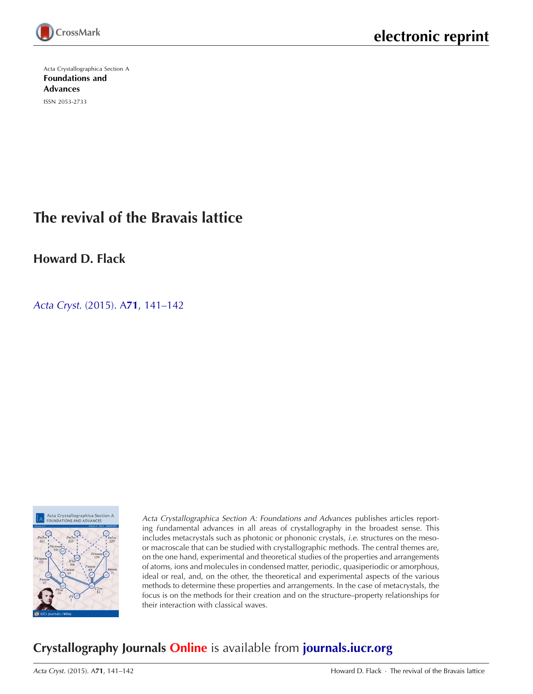

Acta Crystallographica Section A [Foundations and](http://journals.iucr.org/a/) Advances ISSN 2053-2733

# **The revival of the Bravais lattice**

**Howard D. Flack**

Acta Cryst. (2015). A**71**[, 141–142](http://dx.doi.org/10.1107/S2053273315002557)



Acta Crystallographica Section A: Foundations and Advances publishes articles reporting fundamental advances in all areas of crystallography in the broadest sense. This includes metacrystals such as photonic or phononic crystals, i.e. structures on the mesoor macroscale that can be studied with crystallographic methods. The central themes are, on the one hand, experimental and theoretical studies of the properties and arrangements of atoms, ions and molecules in condensed matter, periodic, quasiperiodic or amorphous, ideal or real, and, on the other, the theoretical and experimental aspects of the various methods to determine these properties and arrangements. In the case of metacrystals, the focus is on the methods for their creation and on the structure–property relationships for their interaction with classical waves.

## **Crystallography Journals Online** is available from **[journals.iucr.org](http://journals.iucr.org)**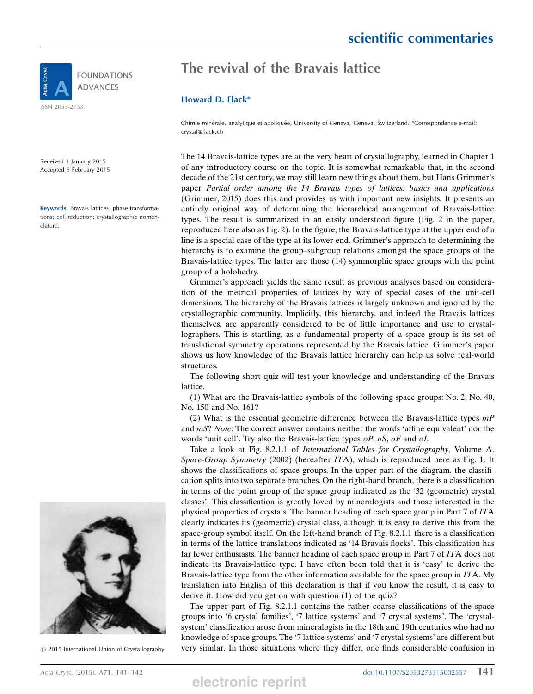

Received 1 January 2015 Accepted 6 February 2015

Keywords: Bravais lattices; phase transformations; cell reduction; crystallographic nomenclature.

## The revival of the Bravais lattice

### Howard D. Flack\*

Chimie minérale, analytique et appliquée, University of Geneva, Geneva, Switzerland. \*Correspondence e-mail: crystal@flack.ch

The 14 Bravais-lattice types are at the very heart of crystallography, learned in Chapter 1 of any introductory course on the topic. It is somewhat remarkable that, in the second decade of the 21st century, we may still learn new things about them, but Hans Grimmer's paper Partial order among the 14 Bravais types of lattices: basics and applications (Grimmer, 2015) does this and provides us with important new insights. It presents an entirely original way of determining the hierarchical arrangement of Bravais-lattice types. The result is summarized in an easily understood figure (Fig. 2 in the paper, reproduced here also as Fig. 2). In the figure, the Bravais-lattice type at the upper end of a line is a special case of the type at its lower end. Grimmer's approach to determining the hierarchy is to examine the group–subgroup relations amongst the space groups of the Bravais-lattice types. The latter are those (14) symmorphic space groups with the point group of a holohedry.

Grimmer's approach yields the same result as previous analyses based on consideration of the metrical properties of lattices by way of special cases of the unit-cell dimensions. The hierarchy of the Bravais lattices is largely unknown and ignored by the crystallographic community. Implicitly, this hierarchy, and indeed the Bravais lattices themselves, are apparently considered to be of little importance and use to crystallographers. This is startling, as a fundamental property of a space group is its set of translational symmetry operations represented by the Bravais lattice. Grimmer's paper shows us how knowledge of the Bravais lattice hierarchy can help us solve real-world structures.

The following short quiz will test your knowledge and understanding of the Bravais lattice.

(1) What are the Bravais-lattice symbols of the following space groups: No. 2, No. 40, No. 150 and No. 161?

(2) What is the essential geometric difference between the Bravais-lattice types  $mP$ and  $mS$ ? Note: The correct answer contains neither the words 'affine equivalent' nor the words 'unit cell'. Try also the Bravais-lattice types oP, oS, oF and oI.

Take a look at Fig. 8.2.1.1 of International Tables for Crystallography, Volume A, Space-Group Symmetry (2002) (hereafter  $ITA$ ), which is reproduced here as Fig. 1. It shows the classifications of space groups. In the upper part of the diagram, the classification splits into two separate branches. On the right-hand branch, there is a classification in terms of the point group of the space group indicated as the '32 (geometric) crystal classes'. This classification is greatly loved by mineralogists and those interested in the physical properties of crystals. The banner heading of each space group in Part 7 of ITA clearly indicates its (geometric) crystal class, although it is easy to derive this from the space-group symbol itself. On the left-hand branch of Fig. 8.2.1.1 there is a classification in terms of the lattice translations indicated as '14 Bravais flocks'. This classification has far fewer enthusiasts. The banner heading of each space group in Part 7 of ITA does not indicate its Bravais-lattice type. I have often been told that it is 'easy' to derive the Bravais-lattice type from the other information available for the space group in  $ITA$ . My translation into English of this declaration is that if you know the result, it is easy to derive it. How did you get on with question (1) of the quiz?

The upper part of Fig. 8.2.1.1 contains the rather coarse classifications of the space groups into '6 crystal families', '7 lattice systems' and '7 crystal systems'. The 'crystalsystem' classification arose from mineralogists in the 18th and 19th centuries who had no knowledge of space groups. The '7 lattice systems' and '7 crystal systems' are different but  $@$  2015 International Union of Crystallography very similar. In those situations where they differ, one finds considerable confusion in